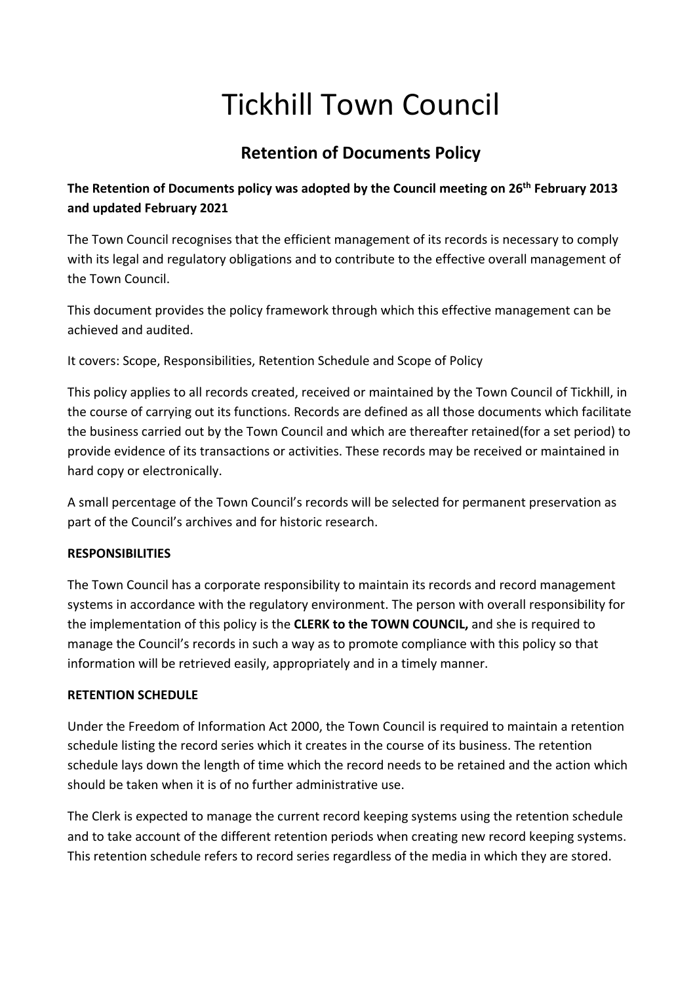# Tickhill Town Council

## **Retention of Documents Policy**

### **The Retention of Documents policy was adopted by the Council meeting on 26th February 2013 and updated February 2021**

The Town Council recognises that the efficient management of its records is necessary to comply with its legal and regulatory obligations and to contribute to the effective overall management of the Town Council.

This document provides the policy framework through which this effective management can be achieved and audited.

It covers: Scope, Responsibilities, Retention Schedule and Scope of Policy

This policy applies to all records created, received or maintained by the Town Council of Tickhill, in the course of carrying out its functions. Records are defined as all those documents which facilitate the business carried out by the Town Council and which are thereafter retained(for a set period) to provide evidence of its transactions or activities. These records may be received or maintained in hard copy or electronically.

A small percentage of the Town Council's records will be selected for permanent preservation as part of the Council's archives and for historic research.

### **RESPONSIBILITIES**

The Town Council has a corporate responsibility to maintain its records and record management systems in accordance with the regulatory environment. The person with overall responsibility for the implementation of this policy is the **CLERK to the TOWN COUNCIL,** and she is required to manage the Council's records in such a way as to promote compliance with this policy so that information will be retrieved easily, appropriately and in a timely manner.

### **RETENTION SCHEDULE**

Under the Freedom of Information Act 2000, the Town Council is required to maintain a retention schedule listing the record series which it creates in the course of its business. The retention schedule lays down the length of time which the record needs to be retained and the action which should be taken when it is of no further administrative use.

The Clerk is expected to manage the current record keeping systems using the retention schedule and to take account of the different retention periods when creating new record keeping systems. This retention schedule refers to record series regardless of the media in which they are stored.